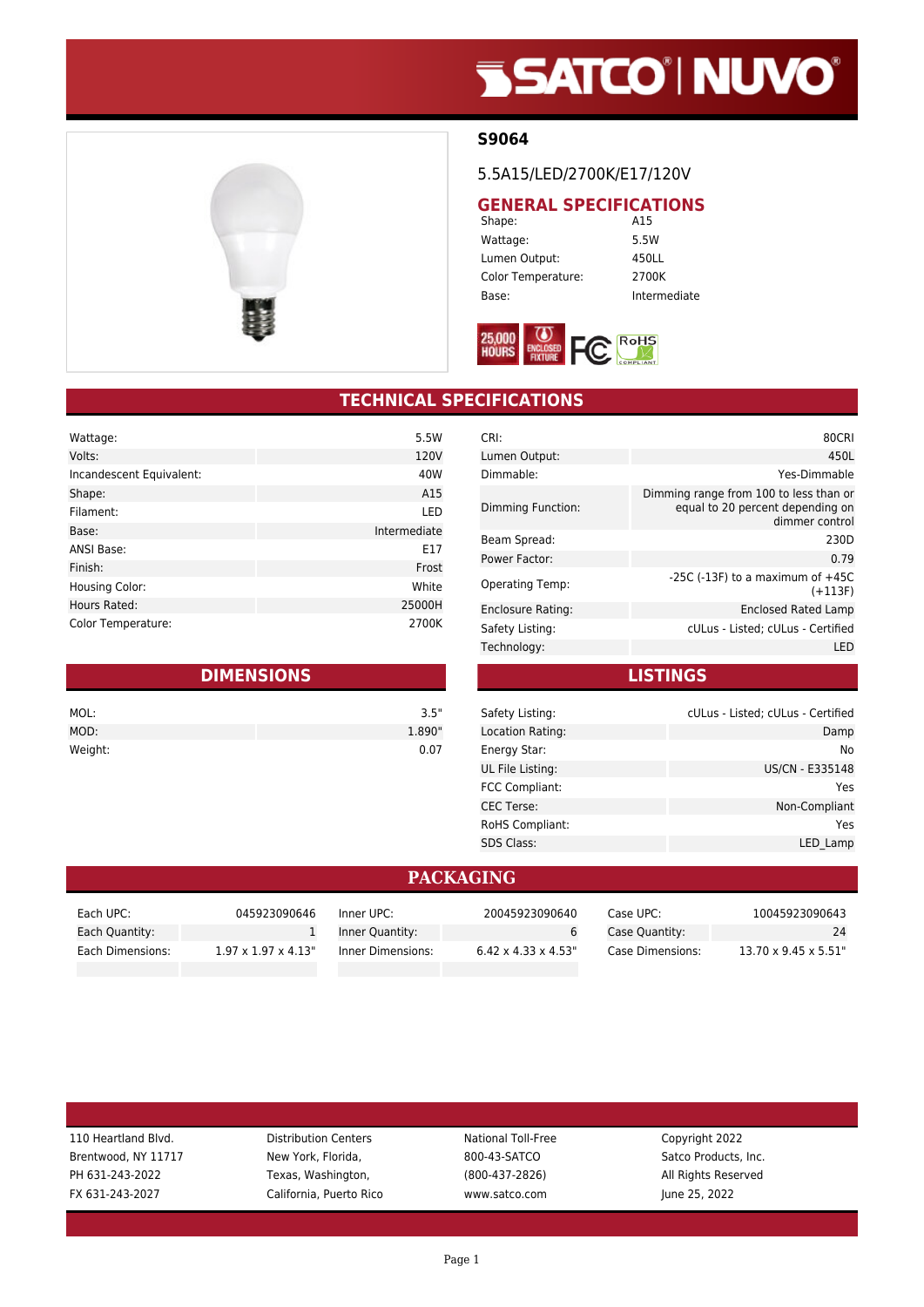# **SSATCO' NUVO'**



#### **S9064**

5.5A15/LED/2700K/E17/120V

## **GENERAL SPECIFICATIONS**<br>Shape: **A15**

Shape: Wattage: 5.5W Lumen Output: 450LL Color Temperature: 2700K Base: Intermediate



### **TECHNICAL SPECIFICATIONS**

| Wattage:                 | 5.5W         |
|--------------------------|--------------|
| Volts:                   | 120V         |
| Incandescent Equivalent: | 40W          |
| Shape:                   | A15          |
| Filament:                | LED          |
| Base:                    | Intermediate |
| <b>ANSI Base:</b>        | E17          |
| Finish:                  | Frost        |
| <b>Housing Color:</b>    | White        |
| Hours Rated:             | 25000H       |
| Color Temperature:       | 2700K        |

| <b>DIMENSIONS</b> |        |  |
|-------------------|--------|--|
| MOL:              | 3.5"   |  |
| MOD:              | 1.890" |  |
| Weight:           | 0.07   |  |

| CRI:                     | 80CRI                                                                                        |
|--------------------------|----------------------------------------------------------------------------------------------|
| Lumen Output:            | 450L                                                                                         |
| Dimmable:                | Yes-Dimmable                                                                                 |
| <b>Dimming Function:</b> | Dimming range from 100 to less than or<br>equal to 20 percent depending on<br>dimmer control |
| Beam Spread:             | 230D                                                                                         |
| Power Factor:            | 0.79                                                                                         |
| <b>Operating Temp:</b>   | -25C (-13F) to a maximum of $+45C$<br>$(+113F)$                                              |
| Enclosure Rating:        | Enclosed Rated Lamp                                                                          |
| Safety Listing:          | cULus - Listed; cULus - Certified                                                            |
| Technology:              | LED                                                                                          |
|                          |                                                                                              |

**LISTINGS**

| Safety Listing:       | cULus - Listed; cULus - Certified |
|-----------------------|-----------------------------------|
| Location Rating:      | Damp                              |
| Energy Star:          | No.                               |
| UL File Listing:      | US/CN - E335148                   |
| <b>FCC Compliant:</b> | Yes                               |
| <b>CEC Terse:</b>     | Non-Compliant                     |
| RoHS Compliant:       | Yes                               |
| <b>SDS Class:</b>     | LED Lamp                          |

#### **PACKAGING**

| Each UPC:        | 045923090646                     | Inner UPC:        | 20045923090640                   | Case UPC:        | 10045923090643                    |
|------------------|----------------------------------|-------------------|----------------------------------|------------------|-----------------------------------|
| Each Quantity:   |                                  | Inner Quantity:   |                                  | Case Quantity:   | 24                                |
| Each Dimensions: | $1.97 \times 1.97 \times 4.13$ " | Inner Dimensions: | $6.42 \times 4.33 \times 4.53$ " | Case Dimensions: | $13.70 \times 9.45 \times 5.51$ " |

| 110 Heartland Blvd. | <b>Distribution Centers</b> | <b>National Toll-Free</b> | Copyright 2022       |  |
|---------------------|-----------------------------|---------------------------|----------------------|--|
| Brentwood, NY 11717 | New York, Florida,          | 800-43-SATCO              | Satco Products, Inc. |  |
| PH 631-243-2022     | Texas, Washington,          | $(800-437-2826)$          | All Rights Reserved  |  |
| FX 631-243-2027     | California, Puerto Rico     | www.satco.com             | June 25, 2022        |  |
|                     |                             |                           |                      |  |